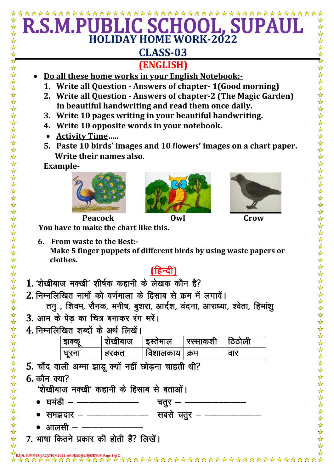## \*\*\*\* ☆ **HOLIDAY HOME WORK-2022**  $\frac{1}{\mathbf{k}}$ **CLASS-03 (ENGLISH)** Do all these home works in your English Notebook:-1. Write all Question - Answers of chapter-1(Good morning) 2. Write all Question - Answers of chapter-2 (The Magic Garden) in beautiful handwriting and read them once daily. 3. Write 10 pages writing in your beautiful handwriting. 4. Write 10 opposite words in your notebook. • Activity Time..... 5. Paste 10 birds' images and 10 flowers' images on a chart paper. Write their names also. **Example-Peacock** Owl Crow You have to make the chart like this. 6. From waste to the Best:-Make 5 finger puppets of different birds by using waste papers or clothes. (हिन्दी) 1. 'शेखीबाज मक्खी' शीर्षक कहानी के लेखक कौन है? 2. निम्नलिखित नामों को वर्णमाला के हिसाब से क्रम में लगावें। तनु, शिवम, रौनक, मनीष, बुशरा, आर्दश, वंदना, आराध्या, श्वेता, हिमांशु 3. आम के पेड का चित्र बनाकर रंग भरें। 4. निम्नलिखित शब्दों के अर्थ लिखें। रस्साकशी <sup>|</sup> शेखीबाज इस्तेमाल झक्कू ਰਿਗੇਕੀ | विशालकाय | क्रम घूरना । हरकत वार 5. चाँद वाली अम्मा झाडू क्यों नहीं छोड़ना चाहती थी?  $6.$  कौन क्या? 'शेखीबाज मक्खी' कहानी के हिसाब से बताओं। चतुर  $-$  - $\bullet$  घमंडी — — सबसे चतुर – –––––– \_\_\_\_\_\_\_\_\_\_\_\_\_\_  $\bullet$  समझदार – –  $\bullet$  आलसी – ––––– 7. भाषा कितने प्रकार की होती हैं? लिखें।  $\frac{1}{\lambda}$